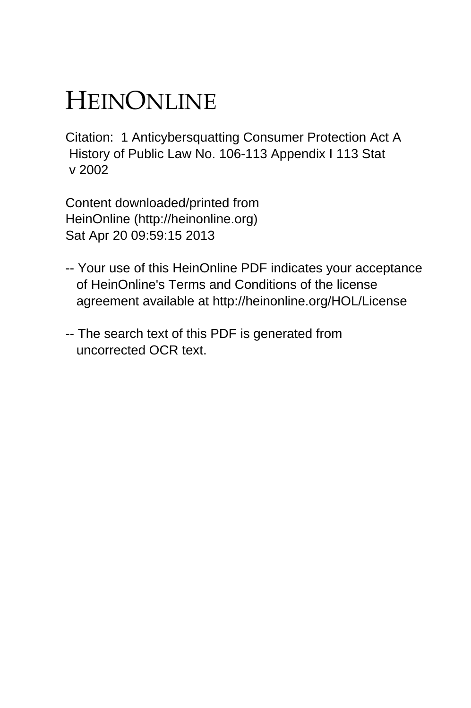## HEINONLINE

Citation: 1 Anticybersquatting Consumer Protection Act A History of Public Law No. 106-113 Appendix I 113 Stat v 2002

Content downloaded/printed from HeinOnline (http://heinonline.org) Sat Apr 20 09:59:15 2013

- -- Your use of this HeinOnline PDF indicates your acceptance of HeinOnline's Terms and Conditions of the license agreement available at http://heinonline.org/HOL/License
- -- The search text of this PDF is generated from uncorrected OCR text.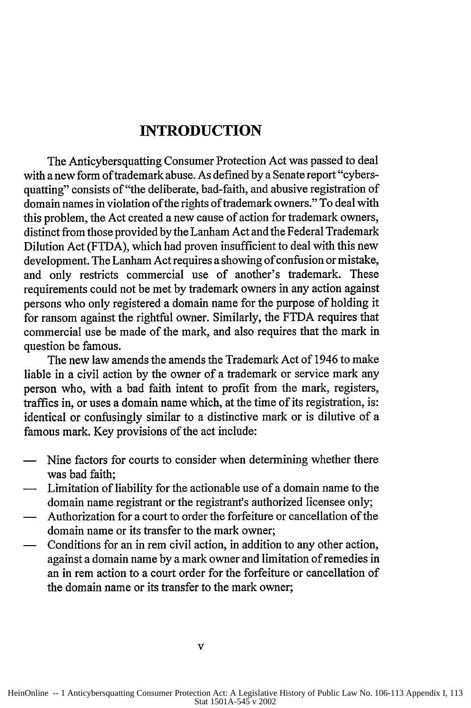## **INTRODUCTION**

The Anticybersquatting Consumer Protection Act was passed to deal with a new form of trademark abuse. As defined by a Senate report "cybersquatting" consists of "the deliberate, bad-faith, and abusive registration of domain names in violation of the rights of trademark owners." To deal with this problem, the Act created a new cause of action for trademark owners, distinct from those provided by the Lanham Act and the Federal Trademark Dilution Act (FTDA), which had proven insufficient to deal with this new development. The Lanham Act requires a showing of confusion or mistake, and only restricts commercial use of another's trademark. These requirements could not be met by trademark owners in any action against persons who only registered a domain name for the purpose of holding it for ransom against the rightful owner. Similarly, the FTDA requires that commercial use be made of the mark, and also requires that the mark in question be famous.

The new law amends the amends the Trademark Act of 1946 to make liable in a civil action by the owner of a trademark or service mark any person who, with a bad faith intent to profit from the mark, registers, traffics in, or uses a domain name which, at the time of its registration, is: identical or confusingly similar to a distinctive mark or is dilutive of a famous mark. Key provisions of the act include:

- Nine factors for courts to consider when determining whether there was bad faith;
- **-** Limitation of liability for the actionable use of a domain name to the domain name registrant or the registrant's authorized licensee only;
- **-** Authorization for a court to order the forfeiture or cancellation of the domain name or its transfer to the mark owner;
- Conditions for an in rem civil action, in addition to any other action, against a domain name by a mark owner and limitation of remedies in an in rem action to a court order for the forfeiture or cancellation of the domain name or its transfer to the mark owner;